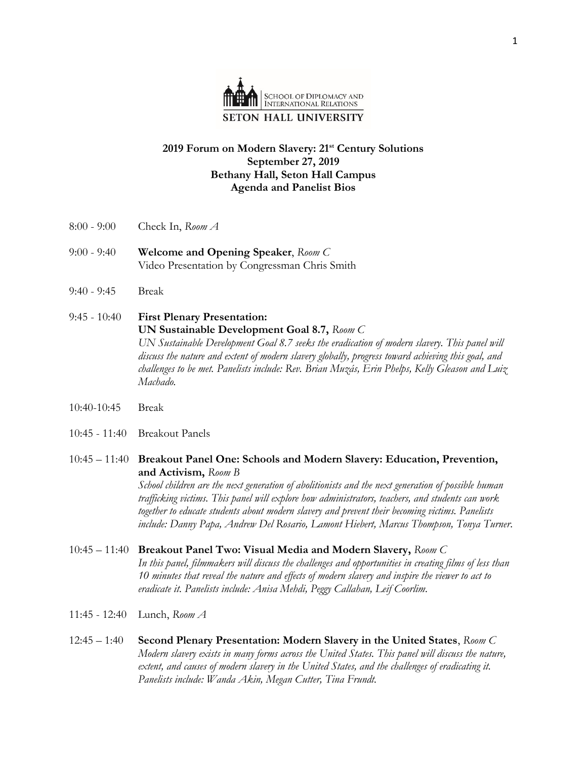

## **2019 Forum on Modern Slavery: 21st Century Solutions September 27, 2019 Bethany Hall, Seton Hall Campus Agenda and Panelist Bios**

- 8:00 9:00 Check In, *Room A*
- 9:00 9:40 **Welcome and Opening Speaker**, *Room C* Video Presentation by Congressman Chris Smith
- 9:40 9:45 Break
- 9:45 10:40 **First Plenary Presentation: UN Sustainable Development Goal 8.7,** *Room C* UN Sustainable Development Goal 8.7 seeks the eradication of modern slavery. This panel will *discuss the nature and extent of modern slavery globally, progress toward achieving this goal, and challenges to be met. Panelists include: Rev. Brian Muzás, Erin Phelps, Kelly Gleason and Luiz Machado.*
- 10:40-10:45 Break
- 10:45 11:40 Breakout Panels
- 10:45 11:40 **Breakout Panel One: Schools and Modern Slavery: Education, Prevention, and Activism,** *Room B*

*School children are the next generation of abolitionists and the next generation of possible human trafficking victims. This panel will explore how administrators, teachers, and students can work together to educate students about modern slavery and prevent their becoming victims. Panelists include: Danny Papa, Andrew Del Rosario, Lamont Hiebert, Marcus Thompson, Tonya Turner.*

- 10:45 11:40 **Breakout Panel Two: Visual Media and Modern Slavery,** *Room C In this panel, filmmakers will discuss the challenges and opportunities in creating films of less than 10 minutes that reveal the nature and effects of modern slavery and inspire the viewer to act to eradicate it. Panelists include: Anisa Mehdi, Peggy Callahan, Leif Coorlim.*
- 11:45 12:40 Lunch, *Room A*
- 12:45 1:40 **Second Plenary Presentation: Modern Slavery in the United States**, *Room C Modern slavery exists in many forms across the United States. This panel will discuss the nature, extent, and causes of modern slavery in the United States, and the challenges of eradicating it. Panelists include: Wanda Akin, Megan Cutter, Tina Frundt.*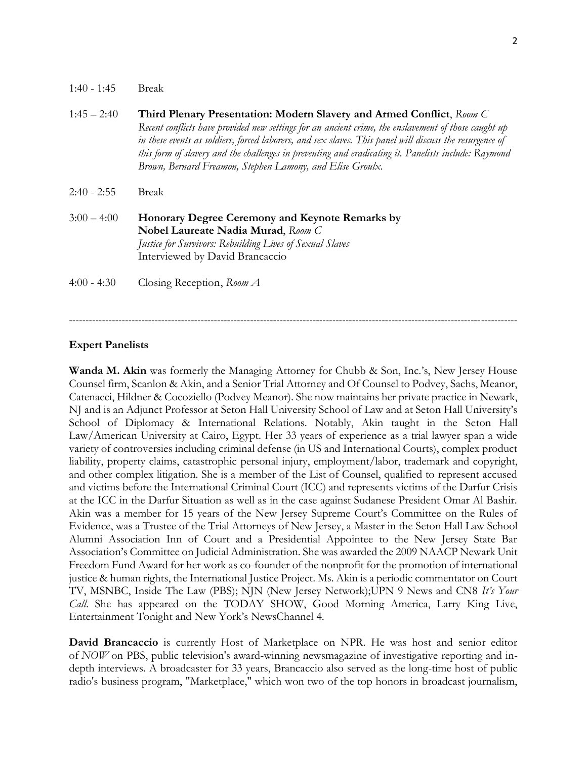| $1:40 - 1:45$ | <b>Break</b>                                                                                                                                                                                                                                                                                                                                                                                                                                                  |
|---------------|---------------------------------------------------------------------------------------------------------------------------------------------------------------------------------------------------------------------------------------------------------------------------------------------------------------------------------------------------------------------------------------------------------------------------------------------------------------|
| $1:45 - 2:40$ | Third Plenary Presentation: Modern Slavery and Armed Conflict, Room C<br>Recent conflicts have provided new settings for an ancient crime, the enslavement of those caught up<br>in these events as soldiers, forced laborers, and sex slaves. This panel will discuss the resurgence of<br>this form of slavery and the challenges in preventing and eradicating it. Panelists include: Raymond<br>Brown, Bernard Freamon, Stephen Lamony, and Elise Groulx. |
| $2:40 - 2:55$ | <b>Break</b>                                                                                                                                                                                                                                                                                                                                                                                                                                                  |
| $3:00 - 4:00$ | Honorary Degree Ceremony and Keynote Remarks by<br>Nobel Laureate Nadia Murad, Room C<br><b>Justice for Survivors: Rebuilding Lives of Sexual Slaves</b><br>Interviewed by David Brancaccio                                                                                                                                                                                                                                                                   |
| $4:00 - 4:30$ | Closing Reception, Room A                                                                                                                                                                                                                                                                                                                                                                                                                                     |

----------------------------------------------------------------------------------------------------------------------------------------

## **Expert Panelists**

**Wanda M. Akin** was formerly the Managing Attorney for Chubb & Son, Inc.'s, New Jersey House Counsel firm, Scanlon & Akin, and a Senior Trial Attorney and Of Counsel to Podvey, Sachs, Meanor, Catenacci, Hildner & Cocoziello (Podvey Meanor). She now maintains her private practice in Newark, NJ and is an Adjunct Professor at Seton Hall University School of Law and at Seton Hall University's School of Diplomacy & International Relations. Notably, Akin taught in the Seton Hall Law/American University at Cairo, Egypt. Her 33 years of experience as a trial lawyer span a wide variety of controversies including criminal defense (in US and International Courts), complex product liability, property claims, catastrophic personal injury, employment/labor, trademark and copyright, and other complex litigation. She is a member of the List of Counsel, qualified to represent accused and victims before the International Criminal Court (ICC) and represents victims of the Darfur Crisis at the ICC in the Darfur Situation as well as in the case against Sudanese President Omar Al Bashir. Akin was a member for 15 years of the New Jersey Supreme Court's Committee on the Rules of Evidence, was a Trustee of the Trial Attorneys of New Jersey, a Master in the Seton Hall Law School Alumni Association Inn of Court and a Presidential Appointee to the New Jersey State Bar Association's Committee on Judicial Administration. She was awarded the 2009 NAACP Newark Unit Freedom Fund Award for her work as co-founder of the nonprofit for the promotion of international justice & human rights, the International Justice Project. Ms. Akin is a periodic commentator on Court TV, MSNBC, Inside The Law (PBS); NJN (New Jersey Network);UPN 9 News and CN8 *It's Your Call*. She has appeared on the TODAY SHOW, Good Morning America, Larry King Live, Entertainment Tonight and New York's NewsChannel 4.

**David Brancaccio** is currently Host of Marketplace on NPR. He was host and senior editor of *NOW* on PBS, public television's award-winning newsmagazine of investigative reporting and indepth interviews. A broadcaster for 33 years, Brancaccio also served as the long-time host of public radio's business program, "Marketplace," which won two of the top honors in broadcast journalism,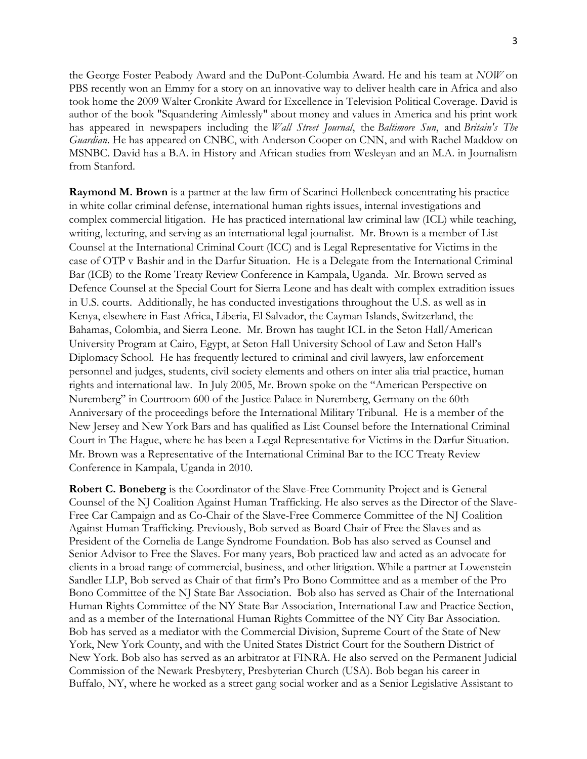the George Foster Peabody Award and the DuPont-Columbia Award. He and his team at *NOW* on PBS recently won an Emmy for a story on an innovative way to deliver health care in Africa and also took home the 2009 Walter Cronkite Award for Excellence in Television Political Coverage. David is author of the book "Squandering Aimlessly" about money and values in America and his print work has appeared in newspapers including the *Wall Street Journal*, the *Baltimore Sun*, and *Britain's The Guardian*. He has appeared on CNBC, with Anderson Cooper on CNN, and with Rachel Maddow on MSNBC. David has a B.A. in History and African studies from Wesleyan and an M.A. in Journalism from Stanford.

**Raymond M. Brown** is a partner at the law firm of Scarinci Hollenbeck concentrating his practice in white collar criminal defense, international human rights issues, internal investigations and complex commercial litigation. He has practiced international law criminal law (ICL) while teaching, writing, lecturing, and serving as an international legal journalist. Mr. Brown is a member of List Counsel at the International Criminal Court (ICC) and is Legal Representative for Victims in the case of OTP v Bashir and in the Darfur Situation. He is a Delegate from the International Criminal Bar (ICB) to the Rome Treaty Review Conference in Kampala, Uganda. Mr. Brown served as Defence Counsel at the Special Court for Sierra Leone and has dealt with complex extradition issues in U.S. courts. Additionally, he has conducted investigations throughout the U.S. as well as in Kenya, elsewhere in East Africa, Liberia, El Salvador, the Cayman Islands, Switzerland, the Bahamas, Colombia, and Sierra Leone. Mr. Brown has taught ICL in the Seton Hall/American University Program at Cairo, Egypt, at Seton Hall University School of Law and Seton Hall's Diplomacy School. He has frequently lectured to criminal and civil lawyers, law enforcement personnel and judges, students, civil society elements and others on inter alia trial practice, human rights and international law. In July 2005, Mr. Brown spoke on the "American Perspective on Nuremberg" in Courtroom 600 of the Justice Palace in Nuremberg, Germany on the 60th Anniversary of the proceedings before the International Military Tribunal. He is a member of the New Jersey and New York Bars and has qualified as List Counsel before the International Criminal Court in The Hague, where he has been a Legal Representative for Victims in the Darfur Situation. Mr. Brown was a Representative of the International Criminal Bar to the ICC Treaty Review Conference in Kampala, Uganda in 2010.

**Robert C. Boneberg** is the Coordinator of the Slave-Free Community Project and is General Counsel of the NJ Coalition Against Human Trafficking. He also serves as the Director of the Slave-Free Car Campaign and as Co-Chair of the Slave-Free Commerce Committee of the NJ Coalition Against Human Trafficking. Previously, Bob served as Board Chair of Free the Slaves and as President of the Cornelia de Lange Syndrome Foundation. Bob has also served as Counsel and Senior Advisor to Free the Slaves. For many years, Bob practiced law and acted as an advocate for clients in a broad range of commercial, business, and other litigation. While a partner at Lowenstein Sandler LLP, Bob served as Chair of that firm's Pro Bono Committee and as a member of the Pro Bono Committee of the NJ State Bar Association. Bob also has served as Chair of the International Human Rights Committee of the NY State Bar Association, International Law and Practice Section, and as a member of the International Human Rights Committee of the NY City Bar Association. Bob has served as a mediator with the Commercial Division, Supreme Court of the State of New York, New York County, and with the United States District Court for the Southern District of New York. Bob also has served as an arbitrator at FINRA. He also served on the Permanent Judicial Commission of the Newark Presbytery, Presbyterian Church (USA). Bob began his career in Buffalo, NY, where he worked as a street gang social worker and as a Senior Legislative Assistant to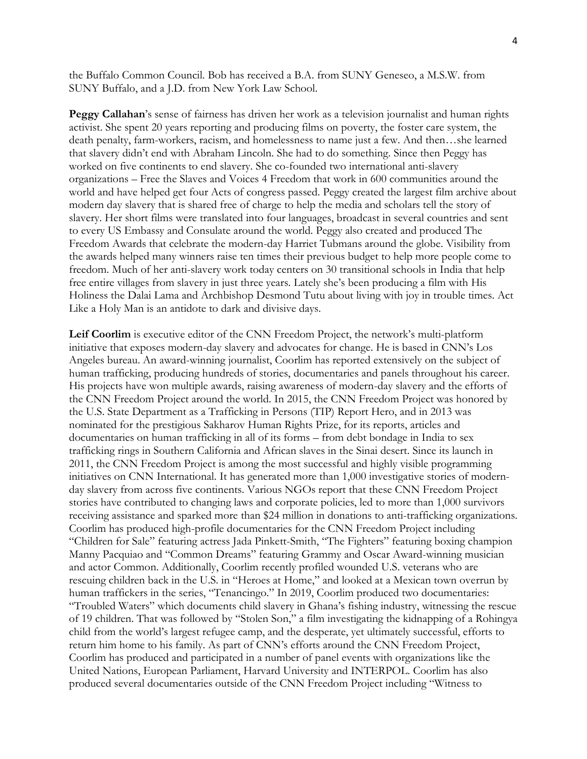the Buffalo Common Council. Bob has received a B.A. from SUNY Geneseo, a M.S.W. from SUNY Buffalo, and a J.D. from New York Law School.

**Peggy Callahan**'s sense of fairness has driven her work as a television journalist and human rights activist. She spent 20 years reporting and producing films on poverty, the foster care system, the death penalty, farm-workers, racism, and homelessness to name just a few. And then…she learned that slavery didn't end with Abraham Lincoln. She had to do something. Since then Peggy has worked on five continents to end slavery. She co-founded two international anti-slavery organizations – Free the Slaves and Voices 4 Freedom that work in 600 communities around the world and have helped get four Acts of congress passed. Peggy created the largest film archive about modern day slavery that is shared free of charge to help the media and scholars tell the story of slavery. Her short films were translated into four languages, broadcast in several countries and sent to every US Embassy and Consulate around the world. Peggy also created and produced The Freedom Awards that celebrate the modern-day Harriet Tubmans around the globe. Visibility from the awards helped many winners raise ten times their previous budget to help more people come to freedom. Much of her anti-slavery work today centers on 30 transitional schools in India that help free entire villages from slavery in just three years. Lately she's been producing a film with His Holiness the Dalai Lama and Archbishop Desmond Tutu about living with joy in trouble times. Act Like a Holy Man is an antidote to dark and divisive days.

**Leif Coorlim** is executive editor of the CNN Freedom Project, the network's multi-platform initiative that exposes modern-day slavery and advocates for change. He is based in CNN's Los Angeles bureau. An award-winning journalist, Coorlim has reported extensively on the subject of human trafficking, producing hundreds of stories, documentaries and panels throughout his career. His projects have won multiple awards, raising awareness of modern-day slavery and the efforts of the CNN Freedom Project around the world. In 2015, the CNN Freedom Project was honored by the U.S. State Department as a Trafficking in Persons (TIP) Report Hero, and in 2013 was nominated for the prestigious Sakharov Human Rights Prize, for its reports, articles and documentaries on human trafficking in all of its forms – from debt bondage in India to sex trafficking rings in Southern California and African slaves in the Sinai desert. Since its launch in 2011, the CNN Freedom Project is among the most successful and highly visible programming initiatives on CNN International. It has generated more than 1,000 investigative stories of modernday slavery from across five continents. Various NGOs report that these CNN Freedom Project stories have contributed to changing laws and corporate policies, led to more than 1,000 survivors receiving assistance and sparked more than \$24 million in donations to anti-trafficking organizations. Coorlim has produced high-profile documentaries for the CNN Freedom Project including "Children for Sale" featuring actress Jada Pinkett-Smith, "The Fighters" featuring boxing champion Manny Pacquiao and "Common Dreams" featuring Grammy and Oscar Award-winning musician and actor Common. Additionally, Coorlim recently profiled wounded U.S. veterans who are rescuing children back in the U.S. in "Heroes at Home," and looked at a Mexican town overrun by human traffickers in the series, "Tenancingo." In 2019, Coorlim produced two documentaries: "Troubled Waters" which documents child slavery in Ghana's fishing industry, witnessing the rescue of 19 children. That was followed by "Stolen Son," a film investigating the kidnapping of a Rohingya child from the world's largest refugee camp, and the desperate, yet ultimately successful, efforts to return him home to his family. As part of CNN's efforts around the CNN Freedom Project, Coorlim has produced and participated in a number of panel events with organizations like the United Nations, European Parliament, Harvard University and INTERPOL. Coorlim has also produced several documentaries outside of the CNN Freedom Project including "Witness to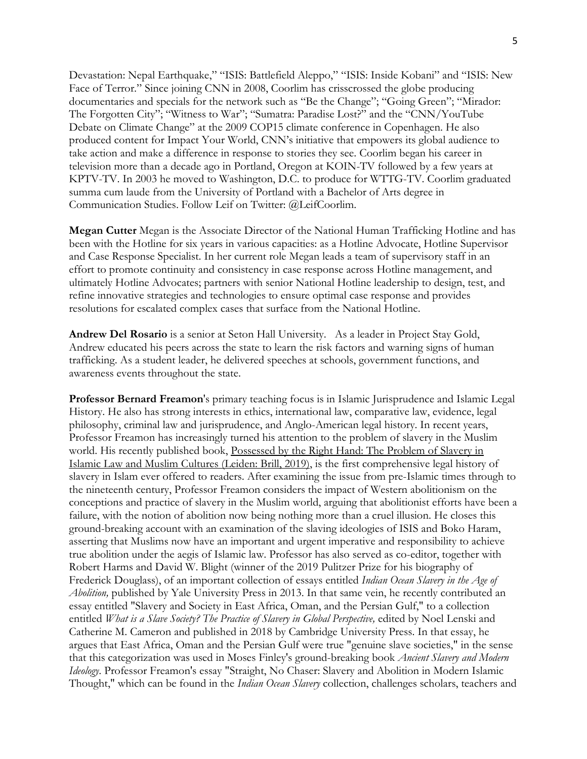Devastation: Nepal Earthquake," "ISIS: Battlefield Aleppo," "ISIS: Inside Kobani" and "ISIS: New Face of Terror." Since joining CNN in 2008, Coorlim has crisscrossed the globe producing documentaries and specials for the network such as "Be the Change"; "Going Green"; "Mirador: The Forgotten City"; "Witness to War"; "Sumatra: Paradise Lost?" and the "CNN/YouTube Debate on Climate Change" at the 2009 COP15 climate conference in Copenhagen. He also produced content for Impact Your World, CNN's initiative that empowers its global audience to take action and make a difference in response to stories they see. Coorlim began his career in television more than a decade ago in Portland, Oregon at KOIN-TV followed by a few years at KPTV-TV. In 2003 he moved to Washington, D.C. to produce for WTTG-TV. Coorlim graduated summa cum laude from the University of Portland with a Bachelor of Arts degree in Communication Studies. Follow Leif on Twitter: @LeifCoorlim.

**Megan Cutter** Megan is the Associate Director of the National Human Trafficking Hotline and has been with the Hotline for six years in various capacities: as a Hotline Advocate, Hotline Supervisor and Case Response Specialist. In her current role Megan leads a team of supervisory staff in an effort to promote continuity and consistency in case response across Hotline management, and ultimately Hotline Advocates; partners with senior National Hotline leadership to design, test, and refine innovative strategies and technologies to ensure optimal case response and provides resolutions for escalated complex cases that surface from the National Hotline.

**Andrew Del Rosario** is a senior at Seton Hall University. As a leader in Project Stay Gold, Andrew educated his peers across the state to learn the risk factors and warning signs of human trafficking. As a student leader, he delivered speeches at schools, government functions, and awareness events throughout the state.

**Professor Bernard Freamon**'s primary teaching focus is in Islamic Jurisprudence and Islamic Legal History. He also has strong interests in ethics, international law, comparative law, evidence, legal philosophy, criminal law and jurisprudence, and Anglo-American legal history. In recent years, Professor Freamon has increasingly turned his attention to the problem of slavery in the Muslim world. His recently published book, Possessed by the Right Hand: The Problem of Slavery in Islamic Law and Muslim Cultures (Leiden: Brill, 2019), is the first comprehensive legal history of slavery in Islam ever offered to readers. After examining the issue from pre-Islamic times through to the nineteenth century, Professor Freamon considers the impact of Western abolitionism on the conceptions and practice of slavery in the Muslim world, arguing that abolitionist efforts have been a failure, with the notion of abolition now being nothing more than a cruel illusion. He closes this ground-breaking account with an examination of the slaving ideologies of ISIS and Boko Haram, asserting that Muslims now have an important and urgent imperative and responsibility to achieve true abolition under the aegis of Islamic law. Professor has also served as co-editor, together with Robert Harms and David W. Blight (winner of the 2019 Pulitzer Prize for his biography of Frederick Douglass), of an important collection of essays entitled *Indian Ocean Slavery in the Age of Abolition,* published by Yale University Press in 2013. In that same vein, he recently contributed an essay entitled "Slavery and Society in East Africa, Oman, and the Persian Gulf," to a collection entitled *What is a Slave Society? The Practice of Slavery in Global Perspective,* edited by Noel Lenski and Catherine M. Cameron and published in 2018 by Cambridge University Press. In that essay, he argues that East Africa, Oman and the Persian Gulf were true "genuine slave societies," in the sense that this categorization was used in Moses Finley's ground-breaking book *Ancient Slavery and Modern Ideology*. Professor Freamon's essay "Straight, No Chaser: Slavery and Abolition in Modern Islamic Thought," which can be found in the *Indian Ocean Slavery* collection, challenges scholars, teachers and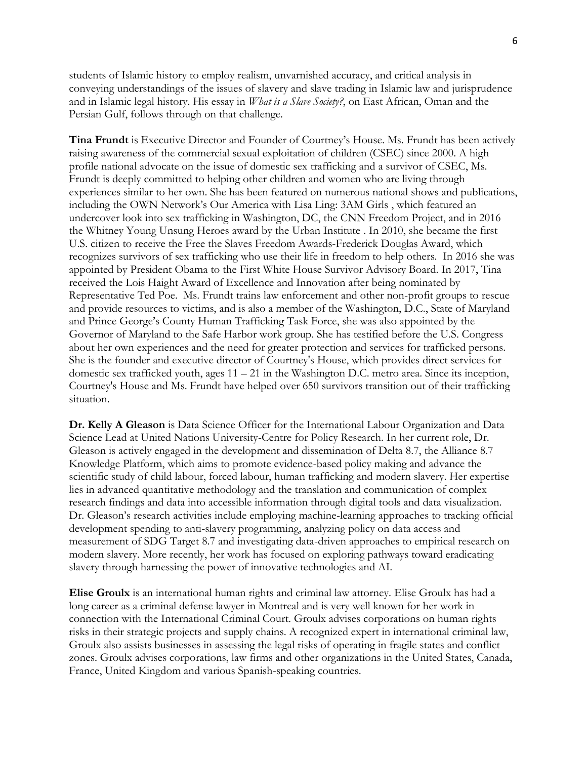students of Islamic history to employ realism, unvarnished accuracy, and critical analysis in conveying understandings of the issues of slavery and slave trading in Islamic law and jurisprudence and in Islamic legal history. His essay in *What is a Slave Society?*, on East African, Oman and the Persian Gulf, follows through on that challenge.

**Tina Frundt** is Executive Director and Founder of Courtney's House. Ms. Frundt has been actively raising awareness of the commercial sexual exploitation of children (CSEC) since 2000. A high profile national advocate on the issue of domestic sex trafficking and a survivor of CSEC, Ms. Frundt is deeply committed to helping other children and women who are living through experiences similar to her own. She has been featured on numerous national shows and publications, including the OWN Network's Our America with Lisa Ling: 3AM Girls , which featured an undercover look into sex trafficking in Washington, DC, the CNN Freedom Project, and in 2016 the Whitney Young Unsung Heroes award by the Urban Institute . In 2010, she became the first U.S. citizen to receive the Free the Slaves Freedom Awards-Frederick Douglas Award, which recognizes survivors of sex trafficking who use their life in freedom to help others. In 2016 she was appointed by President Obama to the First White House Survivor Advisory Board. In 2017, Tina received the Lois Haight Award of Excellence and Innovation after being nominated by Representative Ted Poe. Ms. Frundt trains law enforcement and other non-profit groups to rescue and provide resources to victims, and is also a member of the Washington, D.C., State of Maryland and Prince George's County Human Trafficking Task Force, she was also appointed by the Governor of Maryland to the Safe Harbor work group. She has testified before the U.S. Congress about her own experiences and the need for greater protection and services for trafficked persons. She is the founder and executive director of Courtney's House, which provides direct services for domestic sex trafficked youth, ages  $11 - 21$  in the Washington D.C. metro area. Since its inception, Courtney's House and Ms. Frundt have helped over 650 survivors transition out of their trafficking situation.

**Dr. Kelly A Gleason** is Data Science Officer for the International Labour Organization and Data Science Lead at United Nations University-Centre for Policy Research. In her current role, Dr. Gleason is actively engaged in the development and dissemination of Delta 8.7, the Alliance 8.7 Knowledge Platform, which aims to promote evidence-based policy making and advance the scientific study of child labour, forced labour, human trafficking and modern slavery. Her expertise lies in advanced quantitative methodology and the translation and communication of complex research findings and data into accessible information through digital tools and data visualization. Dr. Gleason's research activities include employing machine-learning approaches to tracking official development spending to anti-slavery programming, analyzing policy on data access and measurement of SDG Target 8.7 and investigating data-driven approaches to empirical research on modern slavery. More recently, her work has focused on exploring pathways toward eradicating slavery through harnessing the power of innovative technologies and AI.

**Elise Groulx** is an international human rights and criminal law attorney. Elise Groulx has had a long career as a criminal defense lawyer in Montreal and is very well known for her work in connection with the International Criminal Court. Groulx advises corporations on human rights risks in their strategic projects and supply chains. A recognized expert in international criminal law, Groulx also assists businesses in assessing the legal risks of operating in fragile states and conflict zones. Groulx advises corporations, law firms and other organizations in the United States, Canada, France, United Kingdom and various Spanish-speaking countries.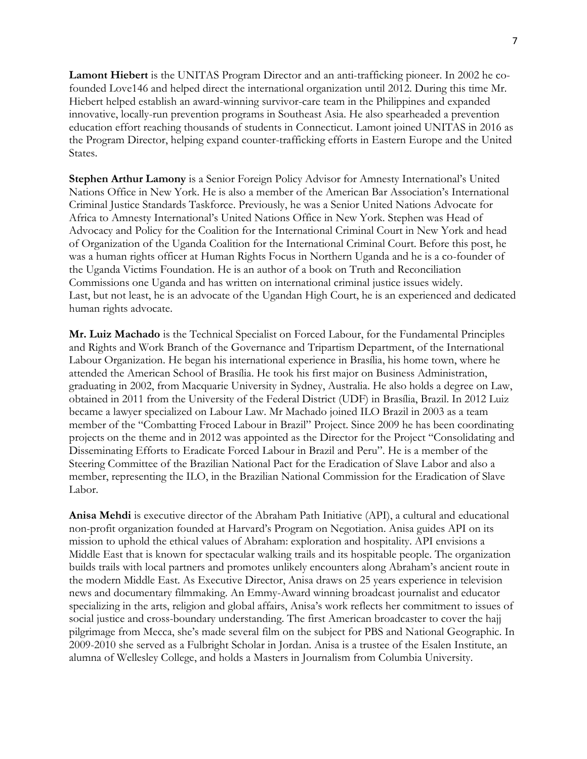**Lamont Hiebert** is the UNITAS Program Director and an anti-trafficking pioneer. In 2002 he cofounded Love146 and helped direct the international organization until 2012. During this time Mr. Hiebert helped establish an award-winning survivor-care team in the Philippines and expanded innovative, locally-run prevention programs in Southeast Asia. He also spearheaded a prevention education effort reaching thousands of students in Connecticut. Lamont joined UNITAS in 2016 as the Program Director, helping expand counter-trafficking efforts in Eastern Europe and the United States.

**Stephen Arthur Lamony** is a Senior Foreign Policy Advisor for Amnesty International's United Nations Office in New York. He is also a member of the American Bar Association's International Criminal Justice Standards Taskforce. Previously, he was a Senior United Nations Advocate for Africa to Amnesty International's United Nations Office in New York. Stephen was Head of Advocacy and Policy for the Coalition for the International Criminal Court in New York and head of Organization of the Uganda Coalition for the International Criminal Court. Before this post, he was a human rights officer at Human Rights Focus in Northern Uganda and he is a co-founder of the Uganda Victims Foundation. He is an author of a book on Truth and Reconciliation Commissions one Uganda and has written on international criminal justice issues widely. Last, but not least, he is an advocate of the Ugandan High Court, he is an experienced and dedicated human rights advocate.

**Mr. Luiz Machado** is the Technical Specialist on Forced Labour, for the Fundamental Principles and Rights and Work Branch of the Governance and Tripartism Department, of the International Labour Organization. He began his international experience in Brasília, his home town, where he attended the American School of Brasília. He took his first major on Business Administration, graduating in 2002, from Macquarie University in Sydney, Australia. He also holds a degree on Law, obtained in 2011 from the University of the Federal District (UDF) in Brasília, Brazil. In 2012 Luiz became a lawyer specialized on Labour Law. Mr Machado joined ILO Brazil in 2003 as a team member of the "Combatting Froced Labour in Brazil" Project. Since 2009 he has been coordinating projects on the theme and in 2012 was appointed as the Director for the Project "Consolidating and Disseminating Efforts to Eradicate Forced Labour in Brazil and Peru". He is a member of the Steering Committee of the Brazilian National Pact for the Eradication of Slave Labor and also a member, representing the ILO, in the Brazilian National Commission for the Eradication of Slave Labor.

**Anisa Mehdi** is executive director of the Abraham Path Initiative (API), a cultural and educational non-profit organization founded at Harvard's Program on Negotiation. Anisa guides API on its mission to uphold the ethical values of Abraham: exploration and hospitality. API envisions a Middle East that is known for spectacular walking trails and its hospitable people. The organization builds trails with local partners and promotes unlikely encounters along Abraham's ancient route in the modern Middle East. As Executive Director, Anisa draws on 25 years experience in television news and documentary filmmaking. An Emmy-Award winning broadcast journalist and educator specializing in the arts, religion and global affairs, Anisa's work reflects her commitment to issues of social justice and cross-boundary understanding. The first American broadcaster to cover the hajj pilgrimage from Mecca, she's made several film on the subject for PBS and National Geographic. In 2009-2010 she served as a Fulbright Scholar in Jordan. Anisa is a trustee of the Esalen Institute, an alumna of Wellesley College, and holds a Masters in Journalism from Columbia University.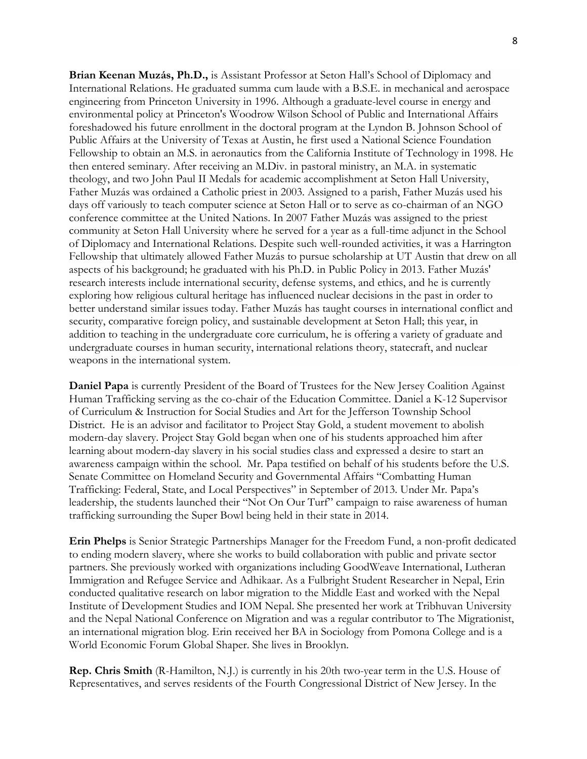**Brian Keenan Muzás, Ph.D.,** is Assistant Professor at Seton Hall's School of Diplomacy and International Relations. He graduated summa cum laude with a B.S.E. in mechanical and aerospace engineering from Princeton University in 1996. Although a graduate-level course in energy and environmental policy at Princeton's Woodrow Wilson School of Public and International Affairs foreshadowed his future enrollment in the doctoral program at the Lyndon B. Johnson School of Public Affairs at the University of Texas at Austin, he first used a National Science Foundation Fellowship to obtain an M.S. in aeronautics from the California Institute of Technology in 1998. He then entered seminary. After receiving an M.Div. in pastoral ministry, an M.A. in systematic theology, and two John Paul II Medals for academic accomplishment at Seton Hall University, Father Muzás was ordained a Catholic priest in 2003. Assigned to a parish, Father Muzás used his days off variously to teach computer science at Seton Hall or to serve as co-chairman of an NGO conference committee at the United Nations. In 2007 Father Muzás was assigned to the priest community at Seton Hall University where he served for a year as a full-time adjunct in the School of Diplomacy and International Relations. Despite such well-rounded activities, it was a Harrington Fellowship that ultimately allowed Father Muzás to pursue scholarship at UT Austin that drew on all aspects of his background; he graduated with his Ph.D. in Public Policy in 2013. Father Muzás' research interests include international security, defense systems, and ethics, and he is currently exploring how religious cultural heritage has influenced nuclear decisions in the past in order to better understand similar issues today. Father Muzás has taught courses in international conflict and security, comparative foreign policy, and sustainable development at Seton Hall; this year, in addition to teaching in the undergraduate core curriculum, he is offering a variety of graduate and undergraduate courses in human security, international relations theory, statecraft, and nuclear weapons in the international system.

**Daniel Papa** is currently President of the Board of Trustees for the New Jersey Coalition Against Human Trafficking serving as the co-chair of the Education Committee. Daniel a K-12 Supervisor of Curriculum & Instruction for Social Studies and Art for the Jefferson Township School District. He is an advisor and facilitator to Project Stay Gold, a student movement to abolish modern-day slavery. Project Stay Gold began when one of his students approached him after learning about modern-day slavery in his social studies class and expressed a desire to start an awareness campaign within the school. Mr. Papa testified on behalf of his students before the U.S. Senate Committee on Homeland Security and Governmental Affairs "Combatting Human Trafficking: Federal, State, and Local Perspectives" in September of 2013. Under Mr. Papa's leadership, the students launched their "Not On Our Turf" campaign to raise awareness of human trafficking surrounding the Super Bowl being held in their state in 2014.

**Erin Phelps** is Senior Strategic Partnerships Manager for the Freedom Fund, a non-profit dedicated to ending modern slavery, where she works to build collaboration with public and private sector partners. She previously worked with organizations including GoodWeave International, Lutheran Immigration and Refugee Service and Adhikaar. As a Fulbright Student Researcher in Nepal, Erin conducted qualitative research on labor migration to the Middle East and worked with the Nepal Institute of Development Studies and IOM Nepal. She presented her work at Tribhuvan University and the Nepal National Conference on Migration and was a regular contributor to The Migrationist, an international migration blog. Erin received her BA in Sociology from Pomona College and is a World Economic Forum Global Shaper. She lives in Brooklyn.

**Rep. Chris Smith** (R-Hamilton, N.J.) is currently in his 20th two-year term in the U.S. House of Representatives, and serves residents of the Fourth Congressional District of New Jersey. In the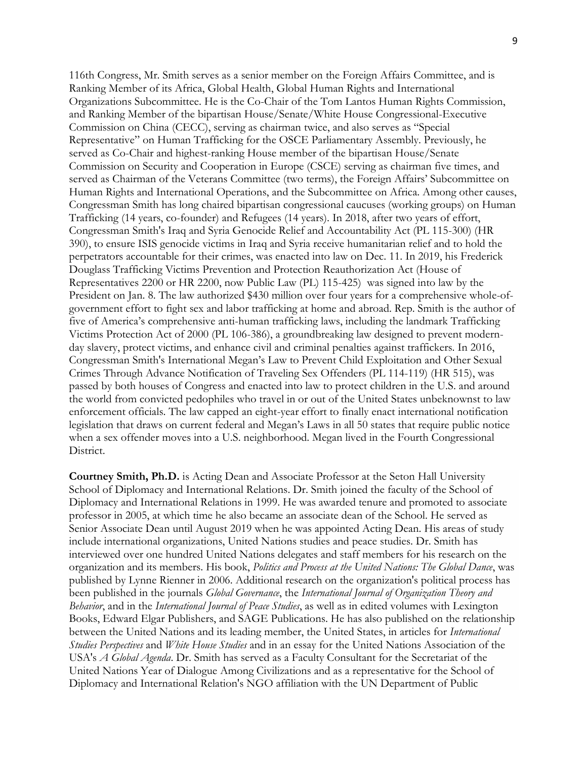116th Congress, Mr. Smith serves as a senior member on the Foreign Affairs Committee, and is Ranking Member of its Africa, Global Health, Global Human Rights and International Organizations Subcommittee. He is the Co-Chair of the Tom Lantos Human Rights Commission, and Ranking Member of the bipartisan House/Senate/White House Congressional-Executive Commission on China (CECC), serving as chairman twice, and also serves as "Special Representative" on Human Trafficking for the OSCE Parliamentary Assembly. Previously, he served as Co-Chair and highest-ranking House member of the bipartisan House/Senate Commission on Security and Cooperation in Europe (CSCE) serving as chairman five times, and served as Chairman of the Veterans Committee (two terms), the Foreign Affairs' Subcommittee on Human Rights and International Operations, and the Subcommittee on Africa. Among other causes, Congressman Smith has long chaired bipartisan congressional caucuses (working groups) on Human Trafficking (14 years, co-founder) and Refugees (14 years). In 2018, after two years of effort, Congressman Smith's Iraq and Syria Genocide Relief and Accountability Act (PL 115-300) (HR 390), to ensure ISIS genocide victims in Iraq and Syria receive humanitarian relief and to hold the perpetrators accountable for their crimes, was enacted into law on Dec. 11. In 2019, his Frederick Douglass Trafficking Victims Prevention and Protection Reauthorization Act (House of Representatives 2200 or HR 2200, now Public Law (PL) 115-425) was signed into law by the President on Jan. 8. The law authorized \$430 million over four years for a comprehensive whole-ofgovernment effort to fight sex and labor trafficking at home and abroad. Rep. Smith is the author of five of America's comprehensive anti-human trafficking laws, including the landmark Trafficking Victims Protection Act of 2000 (PL 106-386), a groundbreaking law designed to prevent modernday slavery, protect victims, and enhance civil and criminal penalties against traffickers. In 2016, Congressman Smith's International Megan's Law to Prevent Child Exploitation and Other Sexual Crimes Through Advance Notification of Traveling Sex Offenders (PL 114-119) (HR 515), was passed by both houses of Congress and enacted into law to protect children in the U.S. and around the world from convicted pedophiles who travel in or out of the United States unbeknownst to law enforcement officials. The law capped an eight-year effort to finally enact international notification legislation that draws on current federal and Megan's Laws in all 50 states that require public notice when a sex offender moves into a U.S. neighborhood. Megan lived in the Fourth Congressional District.

**Courtney Smith, Ph.D.** is Acting Dean and Associate Professor at the Seton Hall University School of Diplomacy and International Relations. Dr. Smith joined the faculty of the School of Diplomacy and International Relations in 1999. He was awarded tenure and promoted to associate professor in 2005, at which time he also became an associate dean of the School. He served as Senior Associate Dean until August 2019 when he was appointed Acting Dean. His areas of study include international organizations, United Nations studies and peace studies. Dr. Smith has interviewed over one hundred United Nations delegates and staff members for his research on the organization and its members. His book, *Politics and Process at the United Nations: The Global Dance*, was published by Lynne Rienner in 2006. Additional research on the organization's political process has been published in the journals *Global Governance*, the *International Journal of Organization Theory and Behavior*, and in the *International Journal of Peace Studies*, as well as in edited volumes with Lexington Books, Edward Elgar Publishers, and SAGE Publications. He has also published on the relationship between the United Nations and its leading member, the United States, in articles for *International Studies Perspectives* and *White House Studies* and in an essay for the United Nations Association of the USA's *A Global Agenda*. Dr. Smith has served as a Faculty Consultant for the Secretariat of the United Nations Year of Dialogue Among Civilizations and as a representative for the School of Diplomacy and International Relation's NGO affiliation with the UN Department of Public